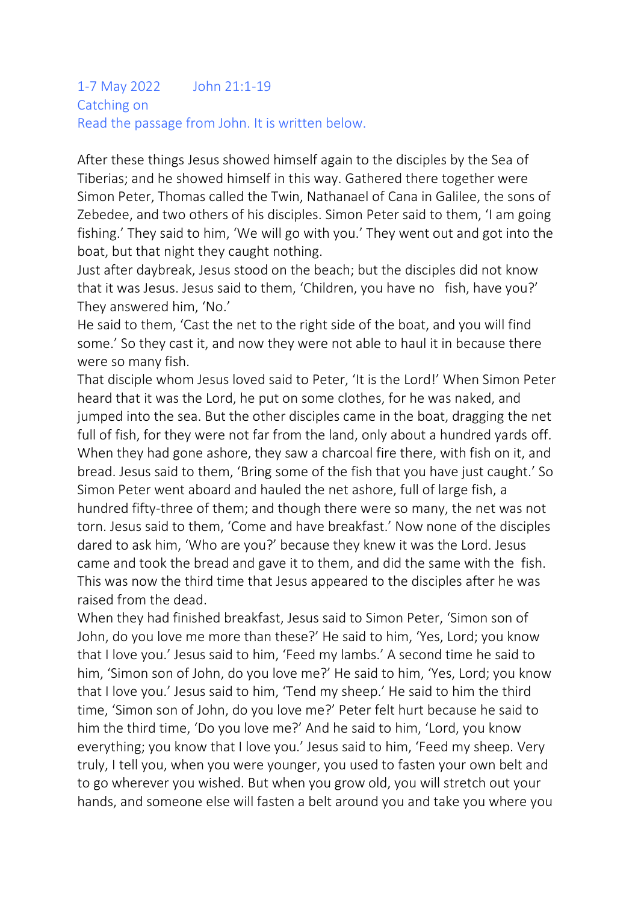#### 1-7 May 2022 John 21:1-19 Catching on Read the passage from John. It is written below.

After these things Jesus showed himself again to the disciples by the Sea of Tiberias; and he showed himself in this way. Gathered there together were Simon Peter, Thomas called the Twin, Nathanael of Cana in Galilee, the sons of Zebedee, and two others of his disciples. Simon Peter said to them, 'I am going fishing.' They said to him, 'We will go with you.' They went out and got into the boat, but that night they caught nothing.

Just after daybreak, Jesus stood on the beach; but the disciples did not know that it was Jesus. Jesus said to them, 'Children, you have no fish, have you?' They answered him, 'No.'

He said to them, 'Cast the net to the right side of the boat, and you will find some.' So they cast it, and now they were not able to haul it in because there were so many fish.

That disciple whom Jesus loved said to Peter, 'It is the Lord!' When Simon Peter heard that it was the Lord, he put on some clothes, for he was naked, and jumped into the sea. But the other disciples came in the boat, dragging the net full of fish, for they were not far from the land, only about a hundred yards off. When they had gone ashore, they saw a charcoal fire there, with fish on it, and bread. Jesus said to them, 'Bring some of the fish that you have just caught.' So Simon Peter went aboard and hauled the net ashore, full of large fish, a hundred fifty-three of them; and though there were so many, the net was not torn. Jesus said to them, 'Come and have breakfast.' Now none of the disciples dared to ask him, 'Who are you?' because they knew it was the Lord. Jesus came and took the bread and gave it to them, and did the same with the fish. This was now the third time that Jesus appeared to the disciples after he was raised from the dead.

When they had finished breakfast, Jesus said to Simon Peter, 'Simon son of John, do you love me more than these?' He said to him, 'Yes, Lord; you know that I love you.' Jesus said to him, 'Feed my lambs.' A second time he said to him, 'Simon son of John, do you love me?' He said to him, 'Yes, Lord; you know that I love you.' Jesus said to him, 'Tend my sheep.' He said to him the third time, 'Simon son of John, do you love me?' Peter felt hurt because he said to him the third time, 'Do you love me?' And he said to him, 'Lord, you know everything; you know that I love you.' Jesus said to him, 'Feed my sheep. Very truly, I tell you, when you were younger, you used to fasten your own belt and to go wherever you wished. But when you grow old, you will stretch out your hands, and someone else will fasten a belt around you and take you where you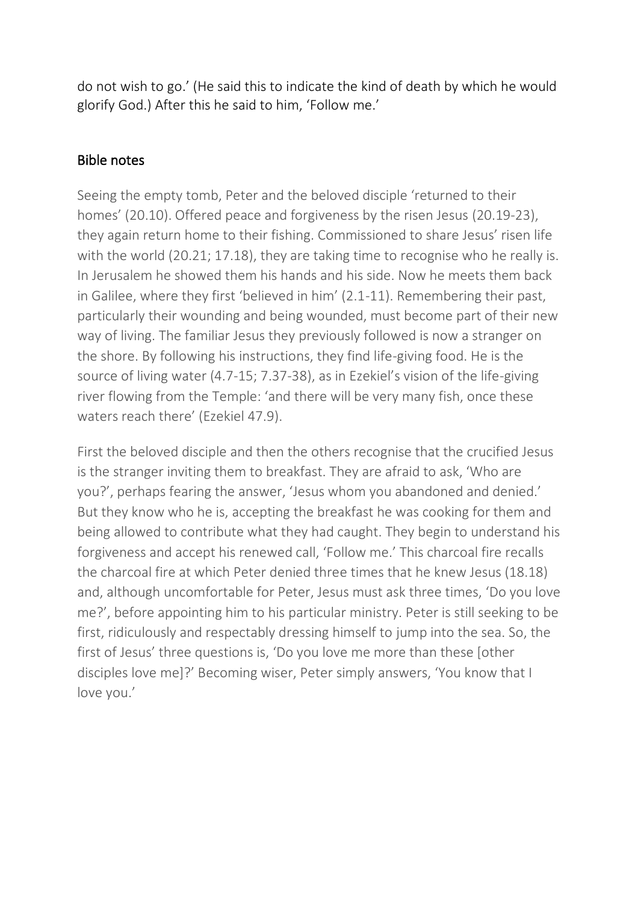do not wish to go.' (He said this to indicate the kind of death by which he would glorify God.) After this he said to him, 'Follow me.'

### Bible notes

Seeing the empty tomb, Peter and the beloved disciple 'returned to their homes' (20.10). Offered peace and forgiveness by the risen Jesus (20.19-23), they again return home to their fishing. Commissioned to share Jesus' risen life with the world (20.21; 17.18), they are taking time to recognise who he really is. In Jerusalem he showed them his hands and his side. Now he meets them back in Galilee, where they first 'believed in him' (2.1-11). Remembering their past, particularly their wounding and being wounded, must become part of their new way of living. The familiar Jesus they previously followed is now a stranger on the shore. By following his instructions, they find life-giving food. He is the source of living water (4.7-15; 7.37-38), as in Ezekiel's vision of the life-giving river flowing from the Temple: 'and there will be very many fish, once these waters reach there' (Ezekiel 47.9).

First the beloved disciple and then the others recognise that the crucified Jesus is the stranger inviting them to breakfast. They are afraid to ask, 'Who are you?', perhaps fearing the answer, 'Jesus whom you abandoned and denied.' But they know who he is, accepting the breakfast he was cooking for them and being allowed to contribute what they had caught. They begin to understand his forgiveness and accept his renewed call, 'Follow me.' This charcoal fire recalls the charcoal fire at which Peter denied three times that he knew Jesus (18.18) and, although uncomfortable for Peter, Jesus must ask three times, 'Do you love me?', before appointing him to his particular ministry. Peter is still seeking to be first, ridiculously and respectably dressing himself to jump into the sea. So, the first of Jesus' three questions is, 'Do you love me more than these [other disciples love me]?' Becoming wiser, Peter simply answers, 'You know that I love you.'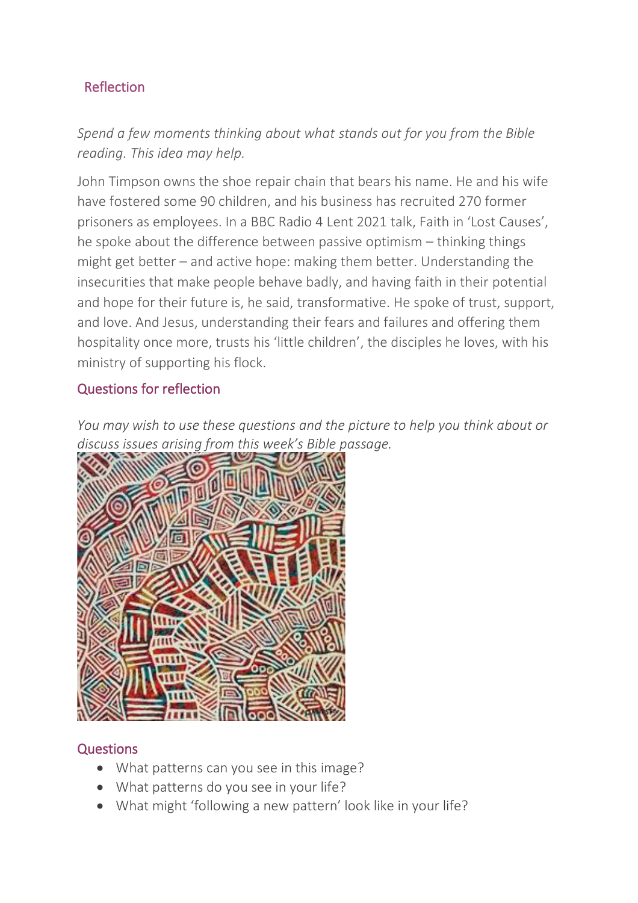# Reflection

*Spend a few moments thinking about what stands out for you from the Bible reading. This idea may help.*

John Timpson owns the shoe repair chain that bears his name. He and his wife have fostered some 90 children, and his business has recruited 270 former prisoners as employees. In a BBC Radio 4 Lent 2021 talk, Faith in 'Lost Causes', he spoke about the difference between passive optimism – thinking things might get better – and active hope: making them better. Understanding the insecurities that make people behave badly, and having faith in their potential and hope for their future is, he said, transformative. He spoke of trust, support, and love. And Jesus, understanding their fears and failures and offering them hospitality once more, trusts his 'little children', the disciples he loves, with his ministry of supporting his flock.

#### Questions for reflection

*You may wish to use these questions and the picture to help you think about or discuss issues arising from this week's Bible passage.*



## **Questions**

- What patterns can you see in this image?
- What patterns do you see in your life?
- What might 'following a new pattern' look like in your life?